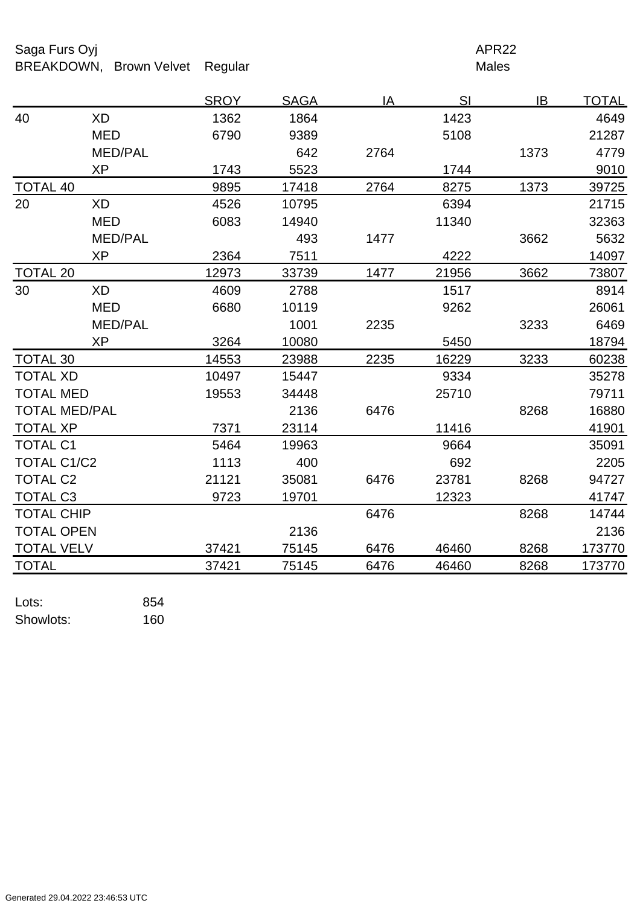Saga Furs Oyj and the Saga Furs Oyj APR22 BREAKDOWN, Brown Velvet Regular Males

|                      |                | <b>SROY</b> | <b>SAGA</b> | IA   | SI    | IB   | <b>TOTAL</b> |
|----------------------|----------------|-------------|-------------|------|-------|------|--------------|
| 40                   | <b>XD</b>      | 1362        | 1864        |      | 1423  |      | 4649         |
|                      | <b>MED</b>     | 6790        | 9389        |      | 5108  |      | 21287        |
|                      | <b>MED/PAL</b> |             | 642         | 2764 |       | 1373 | 4779         |
|                      | <b>XP</b>      | 1743        | 5523        |      | 1744  |      | 9010         |
| <b>TOTAL 40</b>      |                | 9895        | 17418       | 2764 | 8275  | 1373 | 39725        |
| 20                   | <b>XD</b>      | 4526        | 10795       |      | 6394  |      | 21715        |
|                      | <b>MED</b>     | 6083        | 14940       |      | 11340 |      | 32363        |
|                      | <b>MED/PAL</b> |             | 493         | 1477 |       | 3662 | 5632         |
|                      | <b>XP</b>      | 2364        | 7511        |      | 4222  |      | 14097        |
| <b>TOTAL 20</b>      |                | 12973       | 33739       | 1477 | 21956 | 3662 | 73807        |
| 30                   | <b>XD</b>      | 4609        | 2788        |      | 1517  |      | 8914         |
|                      | <b>MED</b>     | 6680        | 10119       |      | 9262  |      | 26061        |
|                      | <b>MED/PAL</b> |             | 1001        | 2235 |       | 3233 | 6469         |
|                      | <b>XP</b>      | 3264        | 10080       |      | 5450  |      | 18794        |
| <b>TOTAL 30</b>      |                | 14553       | 23988       | 2235 | 16229 | 3233 | 60238        |
| <b>TOTAL XD</b>      |                | 10497       | 15447       |      | 9334  |      | 35278        |
| <b>TOTAL MED</b>     |                | 19553       | 34448       |      | 25710 |      | 79711        |
| <b>TOTAL MED/PAL</b> |                |             | 2136        | 6476 |       | 8268 | 16880        |
| <b>TOTAL XP</b>      |                | 7371        | 23114       |      | 11416 |      | 41901        |
| <b>TOTAL C1</b>      |                | 5464        | 19963       |      | 9664  |      | 35091        |
| <b>TOTAL C1/C2</b>   |                | 1113        | 400         |      | 692   |      | 2205         |
| <b>TOTAL C2</b>      |                | 21121       | 35081       | 6476 | 23781 | 8268 | 94727        |
| <b>TOTAL C3</b>      |                | 9723        | 19701       |      | 12323 |      | 41747        |
| <b>TOTAL CHIP</b>    |                |             |             | 6476 |       | 8268 | 14744        |
| <b>TOTAL OPEN</b>    |                |             | 2136        |      |       |      | 2136         |
| <b>TOTAL VELV</b>    |                | 37421       | 75145       | 6476 | 46460 | 8268 | 173770       |
| <b>TOTAL</b>         |                | 37421       | 75145       | 6476 | 46460 | 8268 | 173770       |

Lots: 854 Showlots: 160